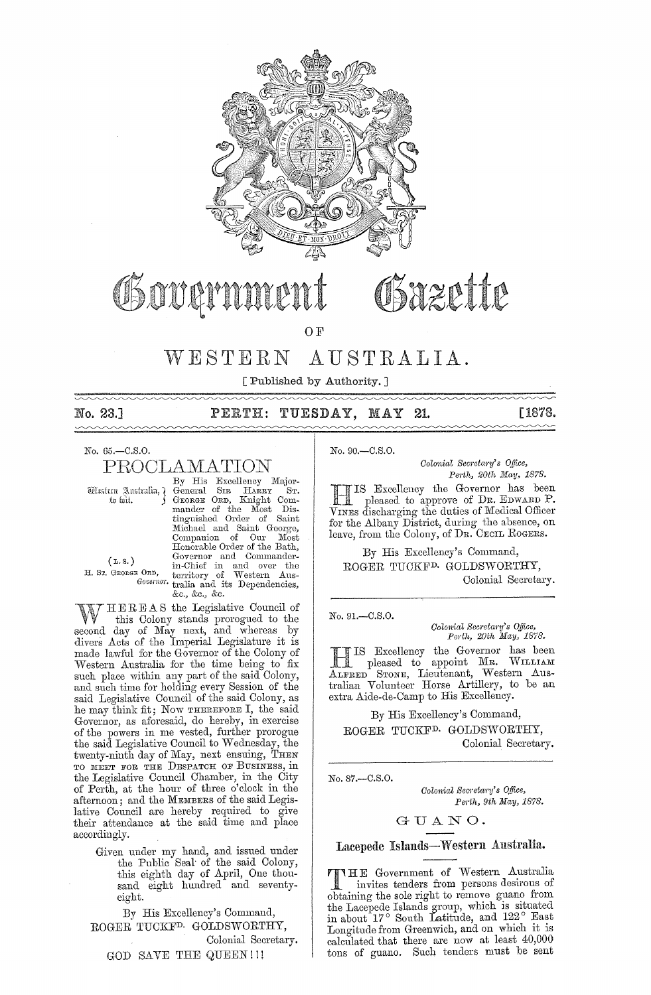

# Sazette

OF

#### $WESTERN$ AUSTRALIA.

[ Published by Authority. ]

No. 23.]  $\sim$ 

PERTH: TUESDAY, MAY 21.

No. 65.-C.S.O.

PROCLAMATION

Western Australia, ? to fait.

 $(L.s.)$ 

H. Sr. GEORGE ORD,

By His Excellency Major-SIR HARRY ST.<br>ORD, Knight Com-General General SIR HARRY ST.<br>George ORD, Knight Com-<br>mander of the Most Dis-<br>tinguished Order of Saint<br>Michael and Saint George, Michael and Saint George,<br>Companion of Our Most<br>Honorable Order of the Bath,<br>Governor and Commander-<br>in-Chief in and over the<br>E ORD, territory of Western Aus-<br>Governor tralia and its Dependencies, &c., &c., &c.

HEREAS the Legislative Council of W this Colony stands prorogued to the second day of May next, and whereas by divers Acts of the Imperial Legislature it is made lawful for the Governor of the Colony of Western Australia for the time being to fix<br>such place within any part of the said Colony, and such time for holding every Session of the said Legislative Council of the said Colony, as he may think fit; Now THEREFORE I, the said Governor, as aforesaid, do hereby, in exercise of the powers in me vested, further prorogue the said Legislative Council to Wednesday, the twenty-ninth day of May, next ensuing, THEN TO MEET FOR THE DESPATCH OF BUSINESS, in the Legislative Council Chamber, in the City<br>of Perth, at the hour of three o'clock in the afternoon; and the MEMBERS of the said Legislative Council are hereby required to give their attendance at the said time and place accordingly.

Given under my hand, and issued under<br>the Public Seal of the said Colony,<br>this eighth day of April, One thousand eight hundred and seventyeight.

By His Excellency's Command, ROGER TUCKF<sup>D.</sup> GOLDSWORTHY, Colonial Secretary. GOD SAVE THE QUEEN!!!

No. 90.-C.S.O.

Colonial Secretary's Office, Perth, 20th May, 1878.

[1878.

IS Excellency the Governor has been pleased to approve of Dr. EDWARD P. VINES discharging the duties of Medical Officer for the Albany District, during the absence, on leave, from the Colony, of DR. CECIL ROGERS.

By His Excellency's Command, ROGER TUCKF<sup>D.</sup> GOLDSWORTHY, Colonial Secretary.

 $No. 91 - C.S.O.$ 

Colonial Secretary's Office,<br>Perth, 20th May, 1878.

THIS Excellency the Governor has been<br>pleased to appoint MR. WILLIAM<br>ALFRED STONE, Lieutenant, Western Australian Volunteer Horse Artillery, to be an extra Aide-de-Camp to His Excellency.

By His Excellency's Command, ROGER TUCKF<sup>D.</sup> GOLDSWORTHY, Colonial Secretary.

No. 87 .- C.S.O.

Colonial Secretary's Office, Perth, 9th May, 1878.

# GUANO.

Lacepede Islands-Western Australia.

**TIME** Government of Western Australia invites tenders from persons desirous of<br>obtaining the sole right to remove guano from the Lacepede Islands group, which is situated<br>in about 17° South Latitude, and 122° East<br>Longitude from Greenwich, and on which it is calculated that there are now at least 40,000 tons of guano. Such tenders must be sent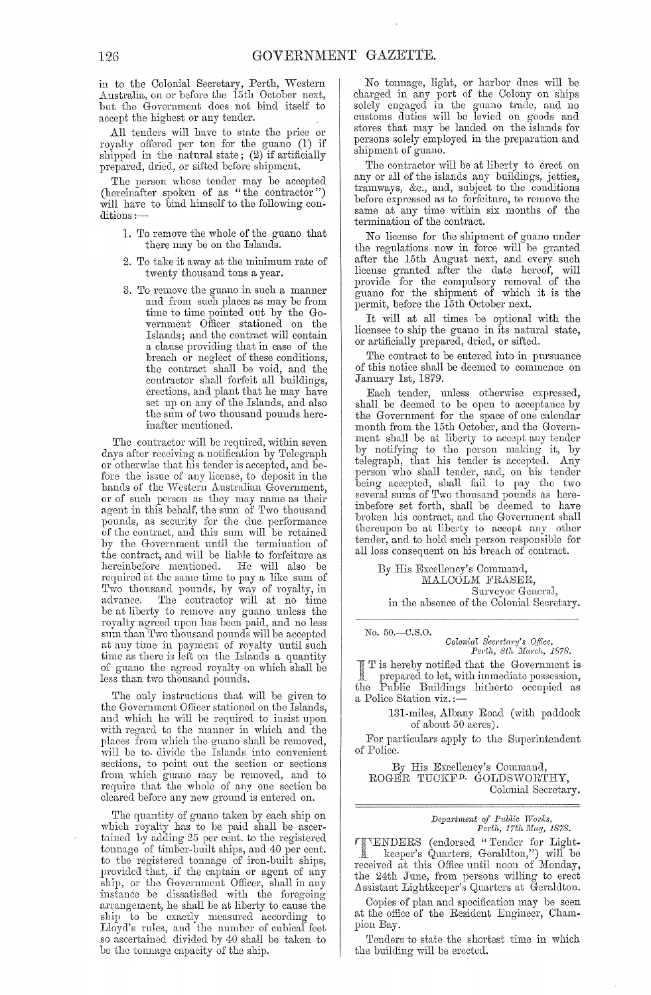in to the Colonial Secretary, Perth, Western Australia, on or before the 15th October next, but the Government does not bind itself to accept the highest or any tender.

All tenders will have to state the price or royalty offered per ton for the guano (1) if shipped in the natural state; (2) if artificially prepared, dried, or sifted before shipment.

The person whose tender may be accepted (hereinafter spoken of as "the contractor") will have to bind himself to the following conditions :-

- 1. To remove the whole of the guano that there may be on the Islands.
- 2. To take it away at the minimum rate of twenty thousand tons a year.
- 3. To remove the guano in such a manner and from such places as may be from time to time pointed out by the Government Officer stationed on the Islands; and the contract will contain a clause providing that in case of the breach or neglect of these conditions, the contract shall be void, and the contractor shall forfeit all buildings, erections, and plant that he may have set up on any of the Islands, and also the sum of two thousand pouuds hereinafter mentioned.

The contractor will be required, within seven days after receiving a notification by Telegraph or otherwise that his tender is accepted, and before the issue of any license, to deposit in the hands of the Western Australian Government, or of such person as they may name as their agent in this behalf, the sum of Two thousand pounds, as security for the due performance of the contract, and this sum will be retained by the Government until the termination of the contract, and will be liable to forfeiture as<br>hereinbefore mentioned. He will also be hereinbefore mentioned. required at the same time to pay a like sum of Two thousand pounds, by way of royalty, in advance. The contractor will at no time be at liberty to remove any guano unless the royalty agreed upon has been paid, and no less sum than Two thousand pounds will be accepted at any time in payment of royalty until such time as there is left on the Islands a quantity of guano the agreed royalty on which shall be less than two thousand pounds.

The only instructions that will be given to the Government Oflicer stationed on the Islands, and which he will be required to insist upon with regard to the manner in which and the places from which the guano shall be removed, will be to divide the Islands into convenient sections, to point out the section or sections from which guano may be removed, and to require that the whole of any one section be cleared before any new ground is entered on.

The quantity of guano taken by each ship on which royalty has to be paid shall be ascertained by adding 25 per cent. to the registered tonnage of timber-built ships, and 40 per cent. to the registered tonnage of iron-built ships, provided that, if the captain or agent of any ship, or the Government Officer, shall in any instance be dissatisfied with the foregoing arrangement, he shall be at liberty to cause the ship to be exactly measured according to Lloyd's rules, and the number of cubical feet so ascertained divided by 40 shall be taken to be the tonnage capacity of the ship.

No tonnage, light, or harbor dues will be charged in any port of the Colony on ships solely engaged in the guano trade, and no customs duties will be levied on goods and stores that may be landed on the islands for persons solely employed in the preparation and shipment of guano.

The contractor will be at liberty to erect on any or all of the islands any buildings, jetties, tramways, &c., and, subject to the conditions before expressed as to forfeiture, to remove the same at any time within six months of the termination of the contract.

No license for the shipment of guano under the regulations now in force will be granted after the 15th August next, and every such license granted after the date hereof, will provide for the compulsory removal of the guano for the shipment of which it is the permit, before the 15th October next.

It will at all times be optional with the licensee to ship the guano in its natural state, or artificially prepared, dried, or sifted.

The contract to be entered into in pursuance of this notice shall be deemed to commence on January 1st, 1879.

Each tender, unless otherwise expressed, shall be deemed to be open to acceptance by the Government for the space of one calendar month from the 15th October, and the Government shall be at liberty to accept any tender by notifying to the person making it, by telegraph, that his tender is accepted. Any person who shall tender, and, on his tender being accepted, shall fail to pay the two several sums of Two thousand pounds as hereinbefore set forth, shall be deemed to have broken his contract, and the Government shall thereupon be at liberty to accept any other tender, and to hold such person responsible for all loss consequent on his breach of contract.

By His Excellency's Command, MALCOLM FRASER, Surveyor Genera], in the absence of the Colonial Secretary.

No. 50.-C.S.O. *Colonial Secretary's Office,*<br>Perth, 8th March, 1878.

T is hereby notified that the Government is prepared to let, with immediate possession, the Public Buildings hitherto occupied as a Police Station viz. ;-

> 131-miles, Albany Road (with paddock of about 50 acres).

For particulars apply to the Superintendent of Police.

By His Excellency's Command, ROGER TUCKF<sup>D.</sup> GOLDSWORTHY, Colonial Secretary.

> *Depcwtment of Pltblic Works,*  Perth, 17th May, 1878.

rench respectively. The may, 1878.<br>The ENDERS (endorsed "Tender for Light-<br>A keeper's Quarters, Geraldton,") will be received at this Office until noon of Monday, the 24th June, from persons willing to erect Assistant Lightkeeper's Quarters at Geraldton.

Copies of plan and specification may be seen at the office of the Resident Engineer, Champion Bay.

Tenders to state the shortest time in which the building will be erected.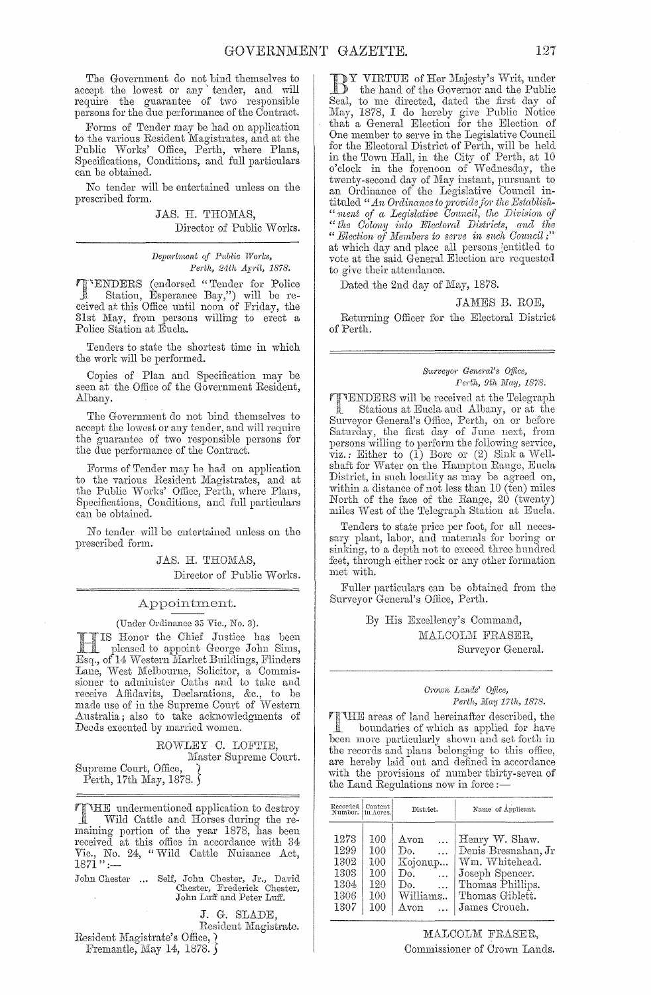The Government do not bind themselves to accept the lowest or any tender, and will require the guamntee of two responsible persons for the due performance of the Contract.

Forms of Tender may be had on application to the various Resident Magistrates, and at the Public Works' Office, Perth, where Plans, Specifications, Conditions, and full particulars can be obtained.

No tender will be entertained unless on the prescribed form.

> JAS. H. THOMAS, Director of Public Works.

*Depcwtment of P.tblic Works, Perth, 24th Ap'il, 1878.* 

rj"ENDERS (endorseel "Tender for Police Station, Esperance Bay,") will be reeeived at this Office until noon of Friday, the 31st May, from persons willing to erect a Police Station at Eucla.

Tenders to state the shortest time in which the work will be performed.

Copies of Plan and Specification may be seen at the Office of the Government Resident, .Albany.

The Government do not bind themselves to accept the lowest or any tender, and will require the guarantee of two responsible persons for the due performance of the Contract.

Forms of Tender may be had on application to the various Resident Magistrates, and at the Public Works' Office, Perth, where Plans, Specifications, Conditions, and full particulars can be obtained.

No tender will be entertained unless on the prescribed form.

JAS. H. THOMAS,

Director of Public Works.

## Appointment.

(Under Ordinance 35 Vic., No. 3).

Honor the Chief Justice has been pleased to appoint George John Sims, Esq., of 14 Western Market Buildings, Flinders Lane, West Melbourne, Solicitor, a Commissioner to administer Oaths and to take and receive Affidavits, Declarations, &c., to be made use of in the Supreme Court of \Vestern Australia; also to take acknowledgments of Deeds executed by married women.

> ROWLEY C. LOFTIE, Master Supreme Court.

Supreme Court, Office, } Perth, 17th May, 1878.  $\int$ 

undermentioned application to destroy Å Wild Cattle and Horses during the remaining portion of the year 1878, has been received at this office in accordance with 34 Vic., No. 24, "Wild Cattle Nuisance Act, 1871" :--

John Chester ... Self, John Chester, Jr., David Chester, Frederick Chester, John Luff and Peter Luff.

J. G. SLADE,

, Resident Magistrate.

Resident Magistrate's Office,  $\chi$ Fremantle, May 14, 1878.

VIRTUE of Her Majesty's Writ, under the hand of the Governor and the Public Seal, to me directed, dated the first day of May, 1878, I do hereby give Public Notice that a General Election for the Election of One member to serve in the Legislative Council for the Electoral District of Perth, will be held in the Town Hall, in the City of Perth, at 10 o'clock in the forenoon of Wednesday, the twenty-second day of May instant, pursuant to an Ordinance of the Legislative Council intituled "An Ordinance to provide for the Establish-*"ment of a Legislative Oouncil, the Division of "the Oolony into Electoml Dist1'icts, and the "* Election of Members to serve in such Council;" at which day and place all persons jentitled to vote at the said General Election are requested to give their attendance.

Dated the 2nd day of May, 1878.

### JAMES B. ROE,

Returning Officer for the Electoral District of Perth,

### *S1t1'veyo,' Gene;'al's Office, Perth, 9th May, 1878.*

**TTENDERS** will be received at the Telegraph<br>Stations at Eucla and Albany, or at the Stations at Eucla and Albany, or at the Surveyor General's Office, Perth, on or before Saturday, the first day of June next, from persons willing to perform the following service, viz.: Either to (1) Bore or (2) Sink a Wellshaft for Water on the Hampton Range, Eucla District, in such locality as may be agreed on, within a distance of not less than  $10$  (ten) miles North of the face of the Range, 20 (twenty) miles West of the Telegraph Station at Eucla.

Tenders to state price per foot, for all necessary plant, labor, and materials for boring or sinking, to a depth not to exceed three hundred feet, through either rock or any other formation met with.

Fuller particulars can be obtained from the Surveyor General's Office, Perth.

> By His Excellency's Command, MALCOLM FRASER, Surveyor General.

# *C,'own Lands' O/jice, Perth, JJlay 17th, 1878.*

THE areas of land hereinafter described, the boundaries of which as applied for have been more particularly shown and set forth in the records and plans belonging to this office, are hereby laid out and defined in accordance with the provisions of number thirty-seven of the Land Regulations now in force :-

| Recorded Content<br>Number, in Acres.                |                                               | District.                                                                                    | Name of Applicant.                                                                                                                 |
|------------------------------------------------------|-----------------------------------------------|----------------------------------------------------------------------------------------------|------------------------------------------------------------------------------------------------------------------------------------|
| 1273<br>1299<br>1302<br>1303<br>1304<br>1306<br>1307 | 100<br>100<br>100<br>100<br>120<br>100<br>100 | Avon<br>Do.<br>$\ddotsc$<br>Kojonup<br>Do.<br>$\sim$<br>Do.<br>$\ddotsc$<br>Williams<br>Avon | Henry W. Shaw.<br>Denis Bresnahan, Jr<br>Wm. Whitehead.<br>Joseph Spencer.<br>Thomas Phillips.<br>Thomas Giblett.<br>James Crouch. |

MALCOLM FRASER, Commissioner of Crown Lands.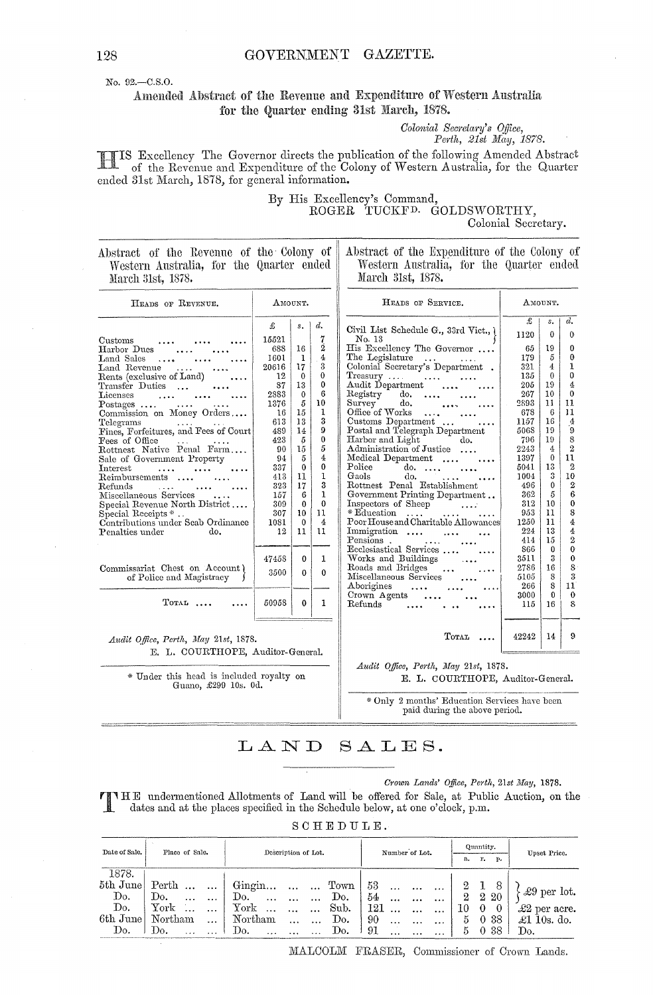No. 92.-C.S.O.

Amended Abstract of the Revenue and Expenditure of Western Australia for the Quarter ending 31st March, 1878.

Colonial Secretary's Office,<br>Perth, 21st May, 1878.

IS Excellency The Governor directs the publication of the following Amended Abstract of the Revenue and Expenditure of the Colony of Western Australia, for the Quarter ended 31st March, 1878, for general information.

# By His Excellency's Command, ROGER TUCKFD. GOLDSWORTHY, Colonial Secretary.

Abstract of the Revenue of the Colony of Western Australia, for the Quarter ended March 31st, 1878.

Abstract of the Expenditure of the Colony of Western Australia, for the Quarter ended March 31st, 1878.

| HEADS OF REVENUE.                                                                                                                                                                                                                                                                                                                                                                                                                                                                                                                                          |                                                                                                                                                               | AMOUNT.                                                                                                                                                            |                                                                                                                                                                                   | HEADS OF SERVICE.                                                                                                                                                                                                                                                                                                                                                                                                                                                                                                                                                                                                                 |                                                                                                                                                                            | AMOUNT.                                                                                                                                                        |                                                                                                                                                                                                                                                          |
|------------------------------------------------------------------------------------------------------------------------------------------------------------------------------------------------------------------------------------------------------------------------------------------------------------------------------------------------------------------------------------------------------------------------------------------------------------------------------------------------------------------------------------------------------------|---------------------------------------------------------------------------------------------------------------------------------------------------------------|--------------------------------------------------------------------------------------------------------------------------------------------------------------------|-----------------------------------------------------------------------------------------------------------------------------------------------------------------------------------|-----------------------------------------------------------------------------------------------------------------------------------------------------------------------------------------------------------------------------------------------------------------------------------------------------------------------------------------------------------------------------------------------------------------------------------------------------------------------------------------------------------------------------------------------------------------------------------------------------------------------------------|----------------------------------------------------------------------------------------------------------------------------------------------------------------------------|----------------------------------------------------------------------------------------------------------------------------------------------------------------|----------------------------------------------------------------------------------------------------------------------------------------------------------------------------------------------------------------------------------------------------------|
| Customs<br>Harbor Dues<br>Land Sales<br>$\cdots$<br>Land Revenue<br>$\cdots$<br>Rents (exclusive of Land)<br>Transfer Duties<br><b>Licenses</b><br>$\text{Postages}$ $\dots$<br>Commission on Money Orders<br>Telegrams<br>Fines, Forfeitures, and Fees of Court<br>Fees of Office<br>Rottnest Native Penal Farm<br>Sale of Government Property<br>Interest<br>Reimbursements<br>Refunds<br>$\cdots$<br>Miscellaneous Services<br>Special Revenue North District<br>Special Receipts $*$ .<br>Contributions under Seab Ordinance<br>Penalties under<br>do. | £<br>15521<br>688<br>1601<br>20616<br>12<br>87<br>2883<br>1376<br>16<br>613<br>489<br>423<br>90<br>94<br>337<br>413<br>323<br>157<br>309<br>307<br>1081<br>12 | $s_{\star}$<br>16<br>1<br>17<br>$\theta$<br>13<br>$\theta$<br>5<br>15<br>13<br>14<br>5<br>15<br>5<br>$\theta$<br>11<br>17<br>6<br>$\theta$<br>10<br>$\theta$<br>11 | d.<br>7<br>2<br>$\overline{4}$<br>3<br>$\theta$<br>0<br>6<br>10<br>1<br>3<br>9<br>0<br>5<br>$\overline{4}$<br>0<br>$\mathbf{1}$<br>3<br>$\mathbf{1}$<br>$\theta$<br>11<br>4<br>11 | Civil List Schedule G., 33rd Vict.,<br>No. 13<br>His Excellency The Governor<br>The Legislature<br><b>Service</b> Contractor<br>Colonial Secretary's Department .<br>Treasury<br>Audit Department<br>Registry<br>do.<br>Suryey<br>do.<br>Office of Works<br>Customs Department<br>Postal and Telegraph Department<br>Harbor and Light<br>do.<br>Administration of Justice<br>Medical Department<br>Police<br>$do. \ldots$<br>Gaols<br>do.<br>Rottnest Penal Establishment<br>Government Printing Department<br>Inspectors of Sheep<br>* Education<br>$\cdots$<br>Poor House and Charitable Allowances<br>Immigration<br>Pensions. | £<br>1120<br>65<br>179<br>321<br>135<br>205<br>267<br>2893<br>678<br>1157<br>5068<br>796<br>2243<br>1397<br>5041<br>1004<br>496<br>362<br>312<br>953<br>1250<br>224<br>414 | s.<br>$\theta$<br>19<br>5<br>4<br>$\bf{0}$<br>19<br>10<br>11<br>6<br>16<br>19<br>19<br>4<br>$\Omega$<br>13<br>3<br>$\theta$<br>5<br>10<br>11<br>11<br>13<br>15 | d.<br>$^{\circ}$<br>$\bf{0}$<br>$\theta$<br>1<br>$\bf{0}$<br>4<br>$\Omega$<br>11<br>11<br>$\frac{1}{2}$<br>ʻ9<br>8<br>$\boldsymbol{2}$<br>11<br>$\boldsymbol{2}$<br>10<br>$\boldsymbol{2}$<br>6<br>$\bf{0}$<br>8<br>$\frac{4}{3}$<br>4<br>$\overline{2}$ |
| Commissariat Chest on Account)<br>of Police and Magistracy<br>$T$ <sub>OTAL</sub>                                                                                                                                                                                                                                                                                                                                                                                                                                                                          | 47458<br>3500<br>50958                                                                                                                                        | 0<br>0<br>0                                                                                                                                                        | 1<br>$\theta$<br>1                                                                                                                                                                | Ecclesiastical Services<br>Works and Buildings<br>Roads and Bridges<br>Miscellaneous Services<br>Aborigines<br>Crown Agents<br>Refunds                                                                                                                                                                                                                                                                                                                                                                                                                                                                                            | 866<br>3511<br>2786<br>5105<br>266<br>3000<br>115                                                                                                                          | $\Omega$<br>3<br>16<br>8<br>8<br>$\theta$<br>16                                                                                                                | $\ddot{\mathbf{0}}$<br>$\boldsymbol{0}$<br>8<br>3<br>11<br>$\theta$<br>8                                                                                                                                                                                 |
| Audit Office, Perth, May 21st, 1878.<br>E. L. COURTHOPE, Auditor-General.                                                                                                                                                                                                                                                                                                                                                                                                                                                                                  |                                                                                                                                                               |                                                                                                                                                                    |                                                                                                                                                                                   | TOTAL                                                                                                                                                                                                                                                                                                                                                                                                                                                                                                                                                                                                                             | 42242                                                                                                                                                                      | 14                                                                                                                                                             | 9                                                                                                                                                                                                                                                        |
| * Under this head is included royalty on<br>Guano, £299 10s. 0d.                                                                                                                                                                                                                                                                                                                                                                                                                                                                                           |                                                                                                                                                               |                                                                                                                                                                    |                                                                                                                                                                                   | Audit Office, Perth, May 21st, 1878.<br>E. L. COURTHOPE, Auditor-General.<br>* Only 2 months' Education Services have been<br>paid during the above period.                                                                                                                                                                                                                                                                                                                                                                                                                                                                       |                                                                                                                                                                            |                                                                                                                                                                |                                                                                                                                                                                                                                                          |

#### $SALES.$ LAND

# Crown Lands' Office, Perth, 21st May, 1878.

THE undermentioned Allotments of Land will be offered for Sale, at Public Auction, on the dates and at the places specified in the Schedule below, at one o'clock, p.m.

SCHEDULE.

| Date of Sale. |                 | Place of Sale.<br>Description of Lot. |                  |                       |           | Number of Lot. |     |            | Quantity.<br>$\mathbf{p}_{\bullet}$<br>г.<br>а. |           |        | Upset Price. |                |                      |
|---------------|-----------------|---------------------------------------|------------------|-----------------------|-----------|----------------|-----|------------|-------------------------------------------------|-----------|--------|--------------|----------------|----------------------|
| 1878.         |                 |                                       |                  |                       |           |                |     |            |                                                 |           |        |              |                |                      |
|               | 5th June Perth  | $\ddotsc$                             | $Gingin$ Town    |                       |           |                | 53  |            | $\cdots$                                        |           | 2      |              | 8              |                      |
| Do.           | Do.<br>$\cdots$ | $\cdots$                              | Do.<br>$\ddotsc$ | $\cdots$              | $\ddotsc$ | Do.            | 54  | $\ddotsc$  |                                                 | $\cdots$  | $^{2}$ | 2 20         |                | $\pounds9$ per lot.  |
| Do.           | York            |                                       | York             |                       | $\ddotsc$ | Sub.           | 121 |            |                                                 | $\ddotsc$ | 10     | $\theta$     | $\overline{0}$ | $\pounds2$ per acre. |
| 6th June      | Northam         | $\ddotsc$                             | Northam          | $\dddot{\phantom{0}}$ | $\cdots$  | Do.            | 90  | $\dddotsc$ |                                                 |           | 5.     | 0.38         |                | $\pounds1$ 10s. do.  |
| Do.           | Do.             |                                       | Do.              |                       |           | Do.            | 91  | $\cdots$   |                                                 | $\cdots$  | 5      | 0.38         |                | Do.                  |

MALCOLM FRASER, Commissioner of Crown Lands.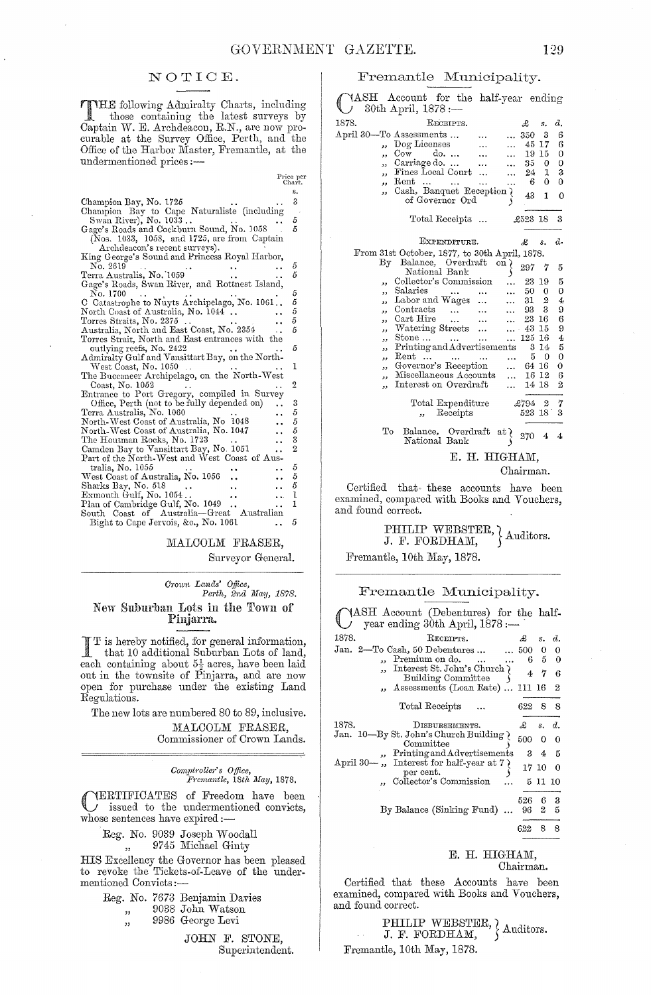# NOTIOE.

THE following Admiralty Charts, including<br>those containing the latest survey by those containing the latest surveys by Captain W. E. Archdeacon, R.N., are now procurable at the Survey Office, Perth, and the Office of the Harbor Master, Fremantle, at the undermentioned prices :-

|                                                  | Price per            | Chart.         |
|--------------------------------------------------|----------------------|----------------|
|                                                  |                      | s.             |
| Champion Bay, No. 1725                           |                      | 3              |
| Champion Bay to Cape Naturaliste (including      |                      |                |
| Swan River), No. 1033                            |                      | 5              |
| Gage's Roads and Cockburn Sound, No. 1058        |                      | 5              |
| (Nos. 1033, 1058, and 1725, are from Captain     |                      |                |
| Archdeacon's recent surveys).                    |                      |                |
| King George's Sound and Princess Royal Harbor,   |                      |                |
| No. 2619                                         |                      | 5              |
| Terra Australis, No. 1059                        |                      | 5              |
| Gage's Roads, Swan River, and Rottnest Island,   |                      |                |
| No. 1700                                         |                      | 5              |
| C Catastrophe to Nuyts Archipelago, No. 1061     |                      |                |
| North Coast of Australia, No. 1044.              |                      | 5<br>5<br>5    |
| Torres Straits, No. 2375                         |                      |                |
| Australia, North and East Coast, No. 2354        |                      | 5              |
| Torres Strait, North and East entrances with the |                      |                |
| outlying reefs, No. 2422                         |                      | 5              |
| Admiralty Gulf and Vansittart Bay, on the North- |                      |                |
| West Coast, No. 1050                             |                      | 1              |
| The Buccaneer Archipelago, on the North-West     |                      |                |
| Coast, No. 1052                                  |                      | 2              |
| Entrance to Port Gregory, compiled in Survey     |                      |                |
| Office, Perth (not to be fully depended on)      |                      | 3              |
| Terra Australis, No. 1060                        |                      | 5              |
| North-West Coast of Australia, No. 1048          |                      | 5              |
| North-West Coast of Australia, No. 1047          |                      | 5              |
| The Houtman Rocks, No. 1723                      | $\ddot{\phantom{a}}$ | 3              |
| Camden Bay to Vansittart Bay, No. 1051           | . .                  | $\overline{2}$ |
| Part of the North-West and West Coast of Aus-    |                      |                |
| tralia, No. 1055                                 |                      | 5              |
| West Coast of Australia, No. 1056                |                      | 5              |
| Sharks Bay, No. 518                              | . .                  | 5              |
| $\scriptstyle\rm Exmouth$ Gulf, No. 1054         | .                    | 1              |
| Plan of Cambridge Gulf, No. 1049                 |                      | 1              |
| Australia-Great Australian<br>South Coast of     |                      |                |
| Bight to Cape Jervois, &c., No. 1061             |                      | 5              |

MALCOLM FRASER,

Surveyor General.

# *C1'own Lands' Office, Pm·th, 2nd May, 1878.*  New Suburban Lots in the Town of Pinjarra.

I T is hereby notified, for general information, that 10 additional Suburban Lots of land, each containing about  $5\frac{1}{2}$  acres, have been laid out in the townsite of Pinjarra, and are now open for purchase under the existing Land Regulations.

The new lots are numbered 80 to 89, inclusive. MALCOLM FRASER, Commissioner of Crown Lands.

*Comptroller's Office,*<br>*Fremantle, 18th May, 1878.* 

CERTIFICATES of Freedom have been issued to the undermentioned convicts, whose sentences have expired:-

Reg. No. 9039 Joseph Woodall ",, 9745 Michael Ginty

HIS Excellency the Governor has been pleased to revoke the Tickets-of-Leave of the undermentioned Convicts:-

|  | Reg. No. 7673 Benjamin Davies |
|--|-------------------------------|
|  | 9038 John Watson              |

" " 9986 George Levi

> JOHN F. STONE, Superintendent.

# Fremantle Municipality.

YASH Account for the half-year ending 30th April, 1878 :-

| 1878.     | RECEIPTS.                                                                        |              | £       | s.               | d.             |
|-----------|----------------------------------------------------------------------------------|--------------|---------|------------------|----------------|
|           | April 30—To Assessments                                                          |              | 350     | 3                | 6              |
| د د       | $\log$ Licenses<br>$\cdots$                                                      |              |         | 45 17            | 6              |
| ,,        | $_{\rm{Conv}}$<br>do.<br>$\ddotsc$                                               |              |         | 19 15            | $\mathbf 0$    |
| ,,        | Carriage do.<br>$\ddotsc$                                                        |              | 35      | 0                | 0              |
| ,         | Fines Local Court                                                                |              | 24      | 1                | 3              |
| دد        | $\operatorname{Rent}$<br>$\ddotsc$<br>$\ddotsc$<br><b><i>College College</i></b> | .            | 6       | 0                | 0              |
| ,,        | Cash, Banquet Reception \                                                        |              |         |                  |                |
|           | of Governor Ord                                                                  |              | 43      | 1                | 0              |
|           |                                                                                  |              |         |                  |                |
|           | Total Receipts                                                                   |              | £523 18 |                  | 3              |
|           |                                                                                  |              |         |                  |                |
|           |                                                                                  |              |         |                  |                |
|           | EXPENDITURE.                                                                     |              | £       | s.               | d.             |
|           | From 31st October, 1877, to 30th April, 1878.                                    |              |         |                  |                |
| $\rm\,By$ | Balance, Overdraft                                                               | on $\lambda$ | 297     | 7                | 5              |
|           | National Bank                                                                    |              |         |                  |                |
| ,,        | Collector's Commission                                                           | $\ddotsc$    | 23      | -19              | 5              |
| ,,        | Salaries<br><b>Contract Contract</b><br>$\cdots$                                 | $\ddotsc$    | 50      | $\mathbf 0$      | 0              |
| ,,        | Labor and Wages<br>$\cdots$                                                      | $\ddotsc$    | 31 -    | $\boldsymbol{2}$ | 4              |
| دد        | Contracts<br>$\mathbf{1.1}$ and $\mathbf{1.1}$<br>$\cdots$                       | .            | 93 3    |                  | 9              |
| ,,        | Cart Hire<br>$\mathbf{1}$ and $\mathbf{1}$<br><b>Contact Contact</b>             |              | 23 16   |                  | 6              |
| و و       | Watering Streets                                                                 |              | 43      | 15               | 9              |
| ,,        | Stone                                                                            | $\cdots$     | 125     | 16               | 4              |
| دد        | Printing and Advertisements                                                      |              | 3       | 14               | 5              |
| ,,        | Rent                                                                             |              | 5.      | $\theta$         | $\mathbf 0$    |
| ,,        | Governor's Reception                                                             | $\ddotsc$    | 64 16   |                  | 0              |
| ,,        | Miscellaneous Accounts                                                           | .            |         | 16 12            | 6              |
| ,,        | Interest on Overdraft                                                            | $\ddotsc$    | 14 18   |                  | $\overline{2}$ |
|           |                                                                                  |              |         |                  |                |
|           | Total Expenditure                                                                |              | £794    | 2                | 7              |
|           | Receipts<br>,,                                                                   |              | 523 18  |                  | 3              |
|           |                                                                                  |              |         |                  |                |
| ጥሪ        | Balance, Overdraft at )                                                          |              |         |                  |                |

To Balance, Overdraft at } 270 4 4<br>National Bank ) E. H. HIGHAM,

# Chairman.

Certified that these accounts have been examined, compared with Books and Vouchers, and found correct.

# PHILIP WEBSTER, } Auditors.<br>J. F. FORDHAM, } Auditors.

Fremantle, 10th May, 1878.

# Fremantle Municipality.

| ASH Account (Debentures) for the half-<br>year ending 30th April, 1878 :-             |             |            |                |
|---------------------------------------------------------------------------------------|-------------|------------|----------------|
| 1878.<br>RECEIPTS.                                                                    | £           | s.         | d.             |
| Jan. 2—To Cash, 50 Debentures                                                         | $\dots 500$ |            |                |
| Premium on do.<br>$\sim$                                                              | 6.          |            | $\sim$ 0       |
| Interest St. John's Church )<br>Building Committee                                    | 4           | 7          | 6              |
| ", Assessments (Loan Rate)  111 16                                                    |             |            | 2              |
| Total Receipts                                                                        | 622         | 8          | -8             |
| 1878.<br>DISBURSEMENTS.                                                               | £           | s. d.      |                |
| Jan. 10—By St. John's Church Building<br>Committee                                    | 500         | 0          |                |
| Printing and Advertisements                                                           |             | $3\quad 4$ | - 5            |
| Interest for half-year at $7$ )<br>April 30—<br>$\overline{\phantom{a}}$<br>per cent. | 17 10       |            | $\overline{0}$ |
| Collector's Commission                                                                |             | 5 11 10    |                |
|                                                                                       | 526         | 6          | 3              |
| By Balance (Sinking Fund)                                                             | 96.         | 2          | 5              |
|                                                                                       | 622         | 8          | 8              |

#### E. H. HIGHAM, Chairman.

Certified that these Accounts have been examined, compared with Books and Vouchers, and found correct.

# PHILIP WEBSTER,  $\Lambda$  duditors. Fremantle, 10th May, 1878.